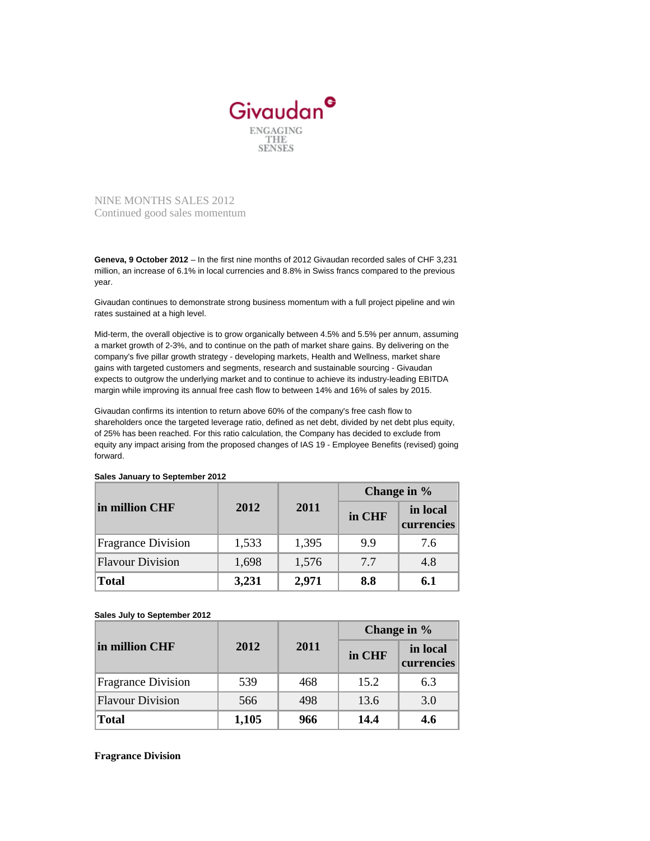

NINE MONTHS SALES 2012 Continued good sales momentum

**Geneva, 9 October 2012** – In the first nine months of 2012 Givaudan recorded sales of CHF 3,231 million, an increase of 6.1% in local currencies and 8.8% in Swiss francs compared to the previous year.

Givaudan continues to demonstrate strong business momentum with a full project pipeline and win rates sustained at a high level.

Mid-term, the overall objective is to grow organically between 4.5% and 5.5% per annum, assuming a market growth of 2-3%, and to continue on the path of market share gains. By delivering on the company's five pillar growth strategy - developing markets, Health and Wellness, market share gains with targeted customers and segments, research and sustainable sourcing - Givaudan expects to outgrow the underlying market and to continue to achieve its industry-leading EBITDA margin while improving its annual free cash flow to between 14% and 16% of sales by 2015.

Givaudan confirms its intention to return above 60% of the company's free cash flow to shareholders once the targeted leverage ratio, defined as net debt, divided by net debt plus equity, of 25% has been reached. For this ratio calculation, the Company has decided to exclude from equity any impact arising from the proposed changes of IAS 19 - Employee Benefits (revised) going forward.

| in million CHF            | 2012  | 2011  | Change in % |                        |
|---------------------------|-------|-------|-------------|------------------------|
|                           |       |       | in CHF      | in local<br>currencies |
| <b>Fragrance Division</b> | 1,533 | 1,395 | 9.9         | 7.6                    |
| <b>Flavour Division</b>   | 1,698 | 1,576 | 7.7         | 4.8                    |
| <b>Total</b>              | 3,231 | 2,971 | 8.8         | 6.1                    |

**Sales January to September 2012**

## **Sales July to September 2012**

| in million CHF            | 2012  | 2011 | Change in % |                        |
|---------------------------|-------|------|-------------|------------------------|
|                           |       |      | in CHF      | in local<br>currencies |
| <b>Fragrance Division</b> | 539   | 468  | 15.2        | 6.3                    |
| <b>Flavour Division</b>   | 566   | 498  | 13.6        | 3.0                    |
| <b>Total</b>              | 1,105 | 966  | 14.4        | 4.6                    |

## **Fragrance Division**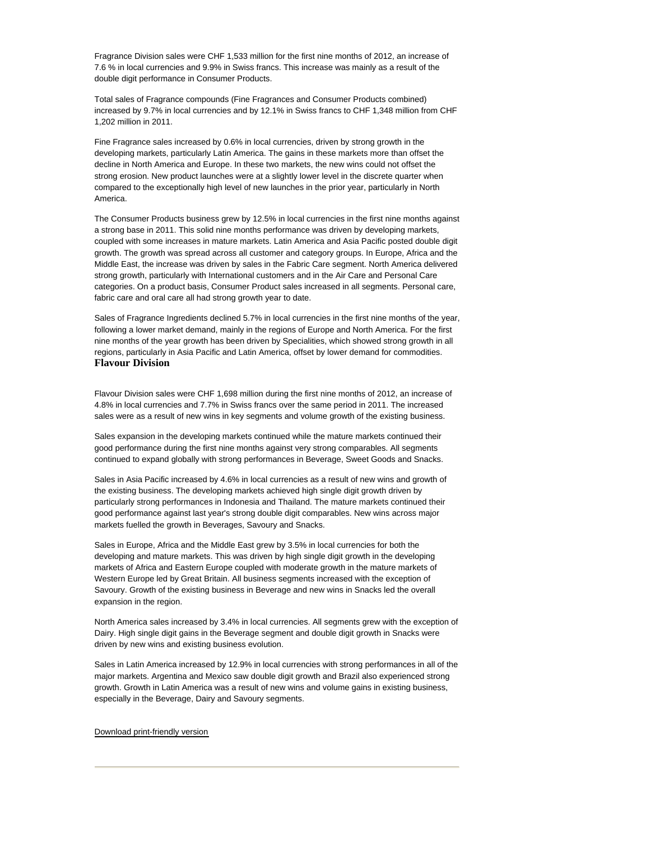Fragrance Division sales were CHF 1,533 million for the first nine months of 2012, an increase of 7.6 % in local currencies and 9.9% in Swiss francs. This increase was mainly as a result of the double digit performance in Consumer Products.

Total sales of Fragrance compounds (Fine Fragrances and Consumer Products combined) increased by 9.7% in local currencies and by 12.1% in Swiss francs to CHF 1,348 million from CHF 1,202 million in 2011.

Fine Fragrance sales increased by 0.6% in local currencies, driven by strong growth in the developing markets, particularly Latin America. The gains in these markets more than offset the decline in North America and Europe. In these two markets, the new wins could not offset the strong erosion. New product launches were at a slightly lower level in the discrete quarter when compared to the exceptionally high level of new launches in the prior year, particularly in North America.

The Consumer Products business grew by 12.5% in local currencies in the first nine months against a strong base in 2011. This solid nine months performance was driven by developing markets, coupled with some increases in mature markets. Latin America and Asia Pacific posted double digit growth. The growth was spread across all customer and category groups. In Europe, Africa and the Middle East, the increase was driven by sales in the Fabric Care segment. North America delivered strong growth, particularly with International customers and in the Air Care and Personal Care categories. On a product basis, Consumer Product sales increased in all segments. Personal care, fabric care and oral care all had strong growth year to date.

Sales of Fragrance Ingredients declined 5.7% in local currencies in the first nine months of the year, following a lower market demand, mainly in the regions of Europe and North America. For the first nine months of the year growth has been driven by Specialities, which showed strong growth in all regions, particularly in Asia Pacific and Latin America, offset by lower demand for commodities. **Flavour Division**

Flavour Division sales were CHF 1,698 million during the first nine months of 2012, an increase of 4.8% in local currencies and 7.7% in Swiss francs over the same period in 2011. The increased sales were as a result of new wins in key segments and volume growth of the existing business.

Sales expansion in the developing markets continued while the mature markets continued their good performance during the first nine months against very strong comparables. All segments continued to expand globally with strong performances in Beverage, Sweet Goods and Snacks.

Sales in Asia Pacific increased by 4.6% in local currencies as a result of new wins and growth of the existing business. The developing markets achieved high single digit growth driven by particularly strong performances in Indonesia and Thailand. The mature markets continued their good performance against last year's strong double digit comparables. New wins across major markets fuelled the growth in Beverages, Savoury and Snacks.

Sales in Europe, Africa and the Middle East grew by 3.5% in local currencies for both the developing and mature markets. This was driven by high single digit growth in the developing markets of Africa and Eastern Europe coupled with moderate growth in the mature markets of Western Europe led by Great Britain. All business segments increased with the exception of Savoury. Growth of the existing business in Beverage and new wins in Snacks led the overall expansion in the region.

North America sales increased by 3.4% in local currencies. All segments grew with the exception of Dairy. High single digit gains in the Beverage segment and double digit growth in Snacks were driven by new wins and existing business evolution.

Sales in Latin America increased by 12.9% in local currencies with strong performances in all of the major markets. Argentina and Mexico saw double digit growth and Brazil also experienced strong growth. Growth in Latin America was a result of new wins and volume gains in existing business, especially in the Beverage, Dairy and Savoury segments.

## [Download print-friendly version](about:/staticweb/StaticFiles/GivaudanCom/PressReleases/2012/Q3w9ckl87N/Giv_2012_Q3mediaRelease_EN.pdf)